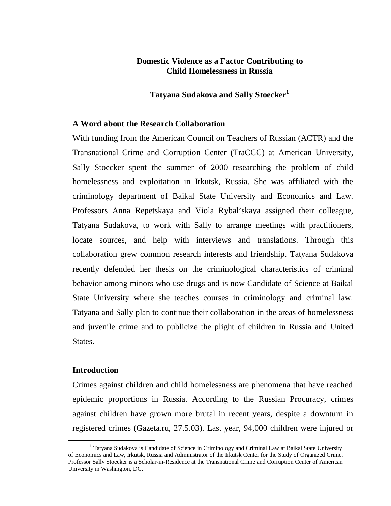# **Domestic Violence as a Factor Contributing to Child Homelessness in Russia**

## **Tatyana Sudakova and Sally Stoecker<sup>1</sup>**

### **A Word about the Research Collaboration**

With funding from the American Council on Teachers of Russian (ACTR) and the Transnational Crime and Corruption Center (TraCCC) at American University, Sally Stoecker spent the summer of 2000 researching the problem of child homelessness and exploitation in Irkutsk, Russia. She was affiliated with the criminology department of Baikal State University and Economics and Law. Professors Anna Repetskaya and Viola Rybal'skaya assigned their colleague, Tatyana Sudakova, to work with Sally to arrange meetings with practitioners, locate sources, and help with interviews and translations. Through this collaboration grew common research interests and friendship. Tatyana Sudakova recently defended her thesis on the criminological characteristics of criminal behavior among minors who use drugs and is now Candidate of Science at Baikal State University where she teaches courses in criminology and criminal law. Tatyana and Sally plan to continue their collaboration in the areas of homelessness and juvenile crime and to publicize the plight of children in Russia and United States.

## **Introduction**

 $\overline{a}$ 

Crimes against children and child homelessness are phenomena that have reached epidemic proportions in Russia. According to the Russian Procuracy, crimes against children have grown more brutal in recent years, despite a downturn in registered crimes (Gazeta.ru, 27.5.03). Last year, 94,000 children were injured or

<sup>&</sup>lt;sup>1</sup> Tatyana Sudakova is Candidate of Science in Criminology and Criminal Law at Baikal State University of Economics and Law, Irkutsk, Russia and Administrator of the Irkutsk Center for the Study of Organized Crime. Professor Sally Stoecker is a Scholar-in-Residence at the Transnational Crime and Corruption Center of American University in Washington, DC.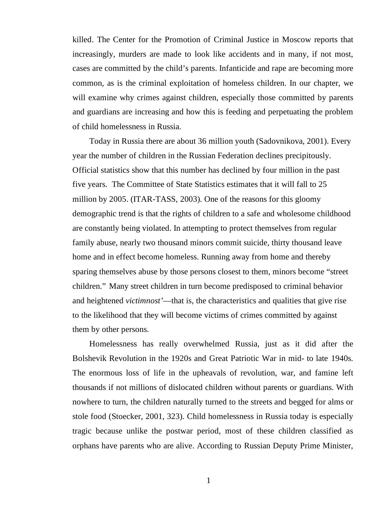killed. The Center for the Promotion of Criminal Justice in Moscow reports that increasingly, murders are made to look like accidents and in many, if not most, cases are committed by the child's parents. Infanticide and rape are becoming more common, as is the criminal exploitation of homeless children. In our chapter, we will examine why crimes against children, especially those committed by parents and guardians are increasing and how this is feeding and perpetuating the problem of child homelessness in Russia.

Today in Russia there are about 36 million youth (Sadovnikova, 2001). Every year the number of children in the Russian Federation declines precipitously. Official statistics show that this number has declined by four million in the past five years. The Committee of State Statistics estimates that it will fall to 25 million by 2005. (ITAR-TASS, 2003). One of the reasons for this gloomy demographic trend is that the rights of children to a safe and wholesome childhood are constantly being violated. In attempting to protect themselves from regular family abuse, nearly two thousand minors commit suicide, thirty thousand leave home and in effect become homeless. Running away from home and thereby sparing themselves abuse by those persons closest to them, minors become "street children." Many street children in turn become predisposed to criminal behavior and heightened *victimnost'*— that is, the characteristics and qualities that give rise to the likelihood that they will become victims of crimes committed by against them by other persons.

Homelessness has really overwhelmed Russia, just as it did after the Bolshevik Revolution in the 1920s and Great Patriotic War in mid- to late 1940s. The enormous loss of life in the upheavals of revolution, war, and famine left thousands if not millions of dislocated children without parents or guardians. With nowhere to turn, the children naturally turned to the streets and begged for alms or stole food (Stoecker, 2001, 323). Child homelessness in Russia today is especially tragic because unlike the postwar period, most of these children classified as orphans have parents who are alive. According to Russian Deputy Prime Minister,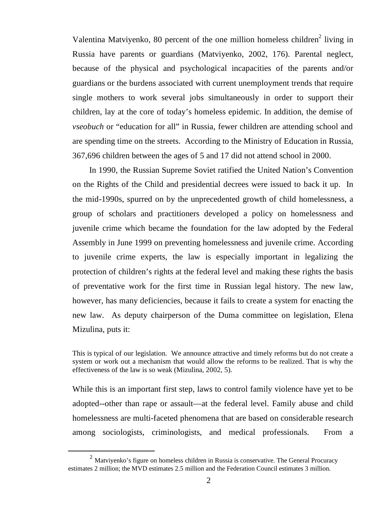Valentina Matviyenko, 80 percent of the one million homeless children $2$  living in Russia have parents or guardians (Matviyenko, 2002, 176). Parental neglect, because of the physical and psychological incapacities of the parents and/or guardians or the burdens associated with current unemployment trends that require single mothers to work several jobs simultaneously in order to support their children, lay at the core of today's homeless epidemic. In addition, the demise of *vseobuch* or "education for all" in Russia, fewer children are attending school and are spending time on the streets. According to the Ministry of Education in Russia, 367,696 children between the ages of 5 and 17 did not attend school in 2000.

In 1990, the Russian Supreme Soviet ratified the United Nation's Convention on the Rights of the Child and presidential decrees were issued to back it up. In the mid-1990s, spurred on by the unprecedented growth of child homelessness, a group of scholars and practitioners developed a policy on homelessness and juvenile crime which became the foundation for the law adopted by the Federal Assembly in June 1999 on preventing homelessness and juvenile crime. According to juvenile crime experts, the law is especially important in legalizing the protection of children's rights at the federal level and making these rights the basis of preventative work for the first time in Russian legal history. The new law, however, has many deficiencies, because it fails to create a system for enacting the new law. As deputy chairperson of the Duma committee on legislation, Elena Mizulina, puts it:

This is typical of our legislation. We announce attractive and timely reforms but do not create a system or work out a mechanism that would allow the reforms to be realized. That is why the effectiveness of the law is so weak (Mizulina, 2002, 5).

While this is an important first step, laws to control family violence have yet to be adopted--other than rape or assault— at the federal level. Family abuse and child homelessness are multi-faceted phenomena that are based on considerable research among sociologists, criminologists, and medical professionals. From a

 $\overline{a}$ 

 $2$  Matviyenko's figure on homeless children in Russia is conservative. The General Procuracy estimates 2 million; the MVD estimates 2.5 million and the Federation Council estimates 3 million.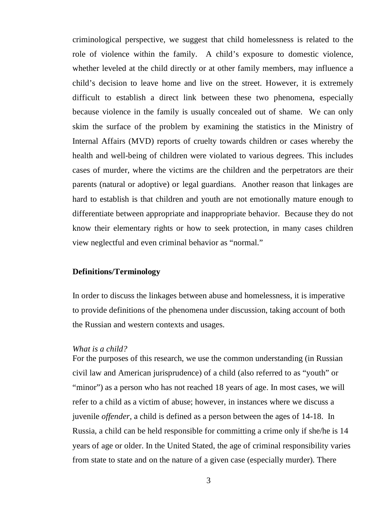criminological perspective, we suggest that child homelessness is related to the role of violence within the family. A child's exposure to domestic violence, whether leveled at the child directly or at other family members, may influence a child's decision to leave home and live on the street. However, it is extremely difficult to establish a direct link between these two phenomena, especially because violence in the family is usually concealed out of shame. We can only skim the surface of the problem by examining the statistics in the Ministry of Internal Affairs (MVD) reports of cruelty towards children or cases whereby the health and well-being of children were violated to various degrees. This includes cases of murder, where the victims are the children and the perpetrators are their parents (natural or adoptive) or legal guardians. Another reason that linkages are hard to establish is that children and youth are not emotionally mature enough to differentiate between appropriate and inappropriate behavior. Because they do not know their elementary rights or how to seek protection, in many cases children view neglectful and even criminal behavior as "normal."

## **Definitions/Terminology**

In order to discuss the linkages between abuse and homelessness, it is imperative to provide definitions of the phenomena under discussion, taking account of both the Russian and western contexts and usages.

#### *What is a child?*

For the purposes of this research, we use the common understanding (in Russian civil law and American jurisprudence) of a child (also referred to as "youth" or "minor") as a person who has not reached 18 years of age. In most cases, we will refer to a child as a victim of abuse; however, in instances where we discuss a juvenile *offender*, a child is defined as a person between the ages of 14-18. In Russia, a child can be held responsible for committing a crime only if she/he is 14 years of age or older. In the United Stated, the age of criminal responsibility varies from state to state and on the nature of a given case (especially murder). There

3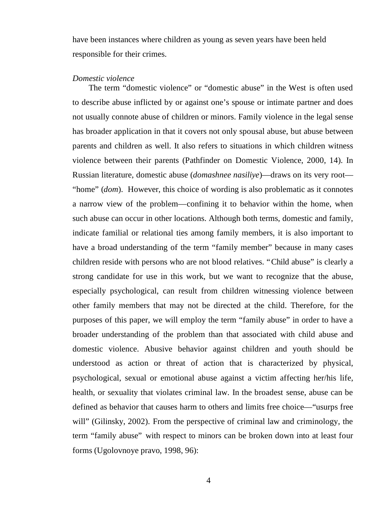have been instances where children as young as seven years have been held responsible for their crimes.

#### *Domestic violence*

The term "domestic violence" or "domestic abuse" in the West is often used to describe abuse inflicted by or against one's spouse or intimate partner and does not usually connote abuse of children or minors. Family violence in the legal sense has broader application in that it covers not only spousal abuse, but abuse between parents and children as well. It also refers to situations in which children witness violence between their parents (Pathfinder on Domestic Violence, 2000, 14). In Russian literature, domestic abuse (*domashnee nasiliye*)— draws on its very root— "home" (*dom*). However, this choice of wording is also problematic as it connotes a narrow view of the problem— confining it to behavior within the home, when such abuse can occur in other locations. Although both terms, domestic and family, indicate familial or relational ties among family members, it is also important to have a broad understanding of the term "family member" because in many cases children reside with persons who are not blood relatives. "Child abuse" is clearly a strong candidate for use in this work, but we want to recognize that the abuse, especially psychological, can result from children witnessing violence between other family members that may not be directed at the child. Therefore, for the purposes of this paper, we will employ the term "family abuse" in order to have a broader understanding of the problem than that associated with child abuse and domestic violence. Abusive behavior against children and youth should be understood as action or threat of action that is characterized by physical, psychological, sexual or emotional abuse against a victim affecting her/his life, health, or sexuality that violates criminal law. In the broadest sense, abuse can be defined as behavior that causes harm to others and limits free choice— "usurps free will" (Gilinsky, 2002). From the perspective of criminal law and criminology, the term "family abuse" with respect to minors can be broken down into at least four forms (Ugolovnoye pravo, 1998, 96):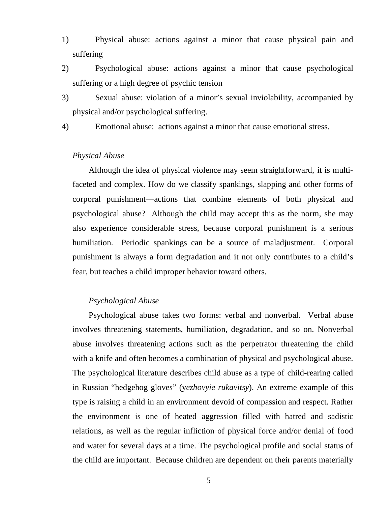- 1) Physical abuse: actions against a minor that cause physical pain and suffering
- 2) Psychological abuse: actions against a minor that cause psychological suffering or a high degree of psychic tension
- 3) Sexual abuse: violation of a minor's sexual inviolability, accompanied by physical and/or psychological suffering.
- 4) Emotional abuse: actions against a minor that cause emotional stress.

## *Physical Abuse*

Although the idea of physical violence may seem straightforward, it is multifaceted and complex. How do we classify spankings, slapping and other forms of corporal punishment— actions that combine elements of both physical and psychological abuse? Although the child may accept this as the norm, she may also experience considerable stress, because corporal punishment is a serious humiliation. Periodic spankings can be a source of maladjustment. Corporal punishment is always a form degradation and it not only contributes to a child's fear, but teaches a child improper behavior toward others.

### *Psychological Abuse*

Psychological abuse takes two forms: verbal and nonverbal. Verbal abuse involves threatening statements, humiliation, degradation, and so on. Nonverbal abuse involves threatening actions such as the perpetrator threatening the child with a knife and often becomes a combination of physical and psychological abuse. The psychological literature describes child abuse as a type of child-rearing called in Russian "hedgehog gloves" (y*ezhovyie rukavitsy*). An extreme example of this type is raising a child in an environment devoid of compassion and respect. Rather the environment is one of heated aggression filled with hatred and sadistic relations, as well as the regular infliction of physical force and/or denial of food and water for several days at a time. The psychological profile and social status of the child are important. Because children are dependent on their parents materially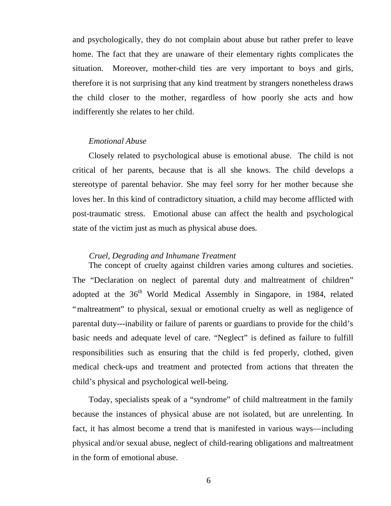and psychologically, they do not complain about abuse but rather prefer to leave home. The fact that they are unaware of their elementary rights complicates the situation. Moreover, mother-child ties are very important to boys and girls, therefore it is not surprising that any kind treatment by strangers nonetheless draws the child closer to the mother, regardless of how poorly she acts and how indifferently she relates to her child.

## *Emotional Abuse*

Closely related to psychological abuse is emotional abuse. The child is not critical of her parents, because that is all she knows. The child develops a stereotype of parental behavior. She may feel sorry for her mother because she loves her. In this kind of contradictory situation, a child may become afflicted with post-traumatic stress. Emotional abuse can affect the health and psychological state of the victim just as much as physical abuse does.

### *Cruel, Degrading and Inhumane Treatment*

The concept of cruelty against children varies among cultures and societies. The "Declaration on neglect of parental duty and maltreatment of children" adopted at the 36<sup>th</sup> World Medical Assembly in Singapore, in 1984, related "maltreatment" to physical, sexual or emotional cruelty as well as negligence of parental duty---inability or failure of parents or guardians to provide for the child's basic needs and adequate level of care. "Neglect" is defined as failure to fulfill responsibilities such as ensuring that the child is fed properly, clothed, given medical check-ups and treatment and protected from actions that threaten the child's physical and psychological well-being.

Today, specialists speak of a "syndrome" of child maltreatment in the family because the instances of physical abuse are not isolated, but are unrelenting. In fact, it has almost become a trend that is manifested in various ways— including physical and/or sexual abuse, neglect of child-rearing obligations and maltreatment in the form of emotional abuse.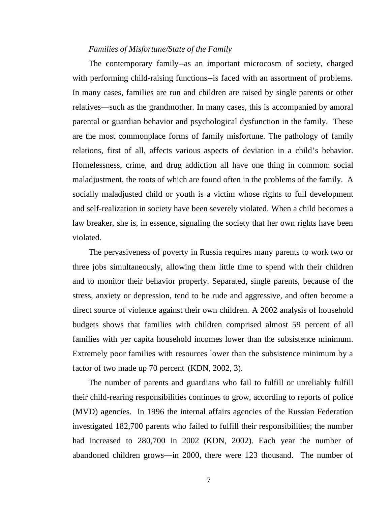## *Families of Misfortune/State of the Family*

The contemporary family--as an important microcosm of society, charged with performing child-raising functions--is faced with an assortment of problems. In many cases, families are run and children are raised by single parents or other relatives— such as the grandmother. In many cases, this is accompanied by amoral parental or guardian behavior and psychological dysfunction in the family. These are the most commonplace forms of family misfortune. The pathology of family relations, first of all, affects various aspects of deviation in a child's behavior. Homelessness, crime, and drug addiction all have one thing in common: social maladjustment, the roots of which are found often in the problems of the family. A socially maladjusted child or youth is a victim whose rights to full development and self-realization in society have been severely violated. When a child becomes a law breaker, she is, in essence, signaling the society that her own rights have been violated.

The pervasiveness of poverty in Russia requires many parents to work two or three jobs simultaneously, allowing them little time to spend with their children and to monitor their behavior properly. Separated, single parents, because of the stress, anxiety or depression, tend to be rude and aggressive, and often become a direct source of violence against their own children. A 2002 analysis of household budgets shows that families with children comprised almost 59 percent of all families with per capita household incomes lower than the subsistence minimum. Extremely poor families with resources lower than the subsistence minimum by a factor of two made up 70 percent (KDN, 2002, 3).

The number of parents and guardians who fail to fulfill or unreliably fulfill their child-rearing responsibilities continues to grow, according to reports of police (MVD) agencies. In 1996 the internal affairs agencies of the Russian Federation investigated 182,700 parents who failed to fulfill their responsibilities; the number had increased to 280,700 in 2002 (KDN, 2002). Each year the number of abandoned children grows**—** in 2000, there were 123 thousand. The number of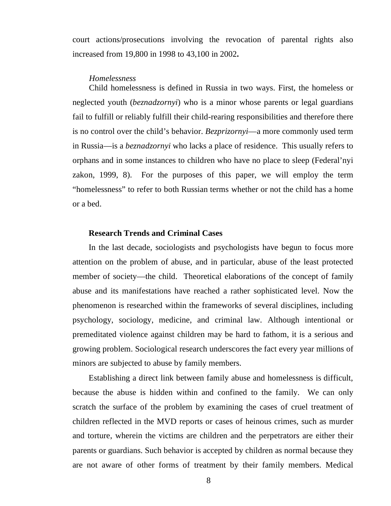court actions/prosecutions involving the revocation of parental rights also increased from 19,800 in 1998 to 43,100 in 2002**.**

#### *Homelessness*

Child homelessness is defined in Russia in two ways. First, the homeless or neglected youth (*beznadzornyi*) who is a minor whose parents or legal guardians fail to fulfill or reliably fulfill their child-rearing responsibilities and therefore there is no control over the child's behavior. *Bezprizornyi*— a more commonly used term in Russia— is a *beznadzornyi* who lacks a place of residence. This usually refers to orphans and in some instances to children who have no place to sleep (Federal'nyi zakon, 1999, 8). For the purposes of this paper, we will employ the term "homelessness" to refer to both Russian terms whether or not the child has a home or a bed.

## **Research Trends and Criminal Cases**

In the last decade, sociologists and psychologists have begun to focus more attention on the problem of abuse, and in particular, abuse of the least protected member of society—the child. Theoretical elaborations of the concept of family abuse and its manifestations have reached a rather sophisticated level. Now the phenomenon is researched within the frameworks of several disciplines, including psychology, sociology, medicine, and criminal law. Although intentional or premeditated violence against children may be hard to fathom, it is a serious and growing problem. Sociological research underscores the fact every year millions of minors are subjected to abuse by family members.

Establishing a direct link between family abuse and homelessness is difficult, because the abuse is hidden within and confined to the family. We can only scratch the surface of the problem by examining the cases of cruel treatment of children reflected in the MVD reports or cases of heinous crimes, such as murder and torture, wherein the victims are children and the perpetrators are either their parents or guardians. Such behavior is accepted by children as normal because they are not aware of other forms of treatment by their family members. Medical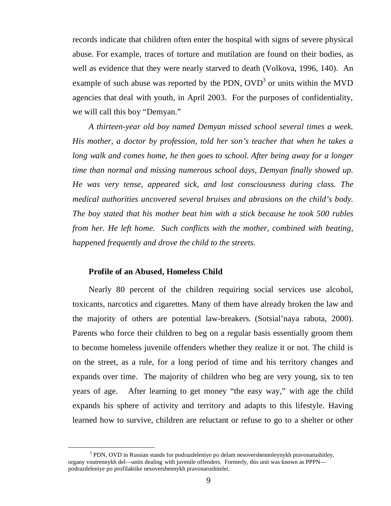records indicate that children often enter the hospital with signs of severe physical abuse. For example, traces of torture and mutilation are found on their bodies, as well as evidence that they were nearly starved to death (Volkova, 1996, 140). An example of such abuse was reported by the PDN,  $OVD<sup>3</sup>$  or units within the MVD agencies that deal with youth, in April 2003. For the purposes of confidentiality, we will call this boy "Demyan."

*A thirteen-year old boy named Demyan missed school several times a week. His mother, a doctor by profession, told her son's teacher that when he takes a long walk and comes home, he then goes to school. After being away for a longer time than normal and missing numerous school days, Demyan finally showed up. He was very tense, appeared sick, and lost consciousness during class. The medical authorities uncovered several bruises and abrasions on the child's body. The boy stated that his mother beat him with a stick because he took 500 rubles from her. He left home. Such conflicts with the mother, combined with beating, happened frequently and drove the child to the streets.*

## **Profile of an Abused, Homeless Child**

 $\overline{a}$ 

Nearly 80 percent of the children requiring social services use alcohol, toxicants, narcotics and cigarettes. Many of them have already broken the law and the majority of others are potential law-breakers. (Sotsial'naya rabota, 2000). Parents who force their children to beg on a regular basis essentially groom them to become homeless juvenile offenders whether they realize it or not. The child is on the street, as a rule, for a long period of time and his territory changes and expands over time. The majority of children who beg are very young, six to ten years of age. After learning to get money "the easy way," with age the child expands his sphere of activity and territory and adapts to this lifestyle. Having learned how to survive, children are reluctant or refuse to go to a shelter or other

<sup>&</sup>lt;sup>3</sup> PDN, OVD in Russian stands for podrazdeleniye po delam nesovershennoleynykh pravonarushitley, organy vnutrennykh del— units dealing with juvenile offenders. Formerly, this unit was known as PPPN podrazdeleniye po profilaktike nesovershennykh pravonarushitelei.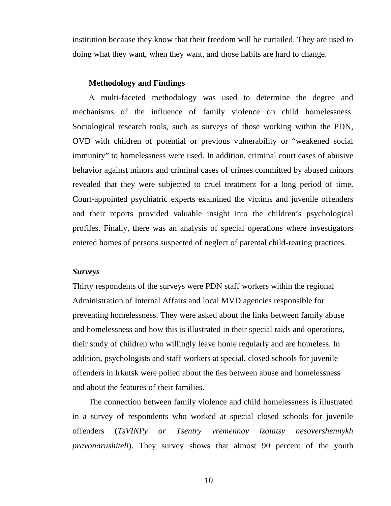institution because they know that their freedom will be curtailed. They are used to doing what they want, when they want, and those habits are hard to change.

#### **Methodology and Findings**

A multi-faceted methodology was used to determine the degree and mechanisms of the influence of family violence on child homelessness. Sociological research tools, such as surveys of those working within the PDN, OVD with children of potential or previous vulnerability or "weakened social immunity" to homelessness were used. In addition, criminal court cases of abusive behavior against minors and criminal cases of crimes committed by abused minors revealed that they were subjected to cruel treatment for a long period of time. Court-appointed psychiatric experts examined the victims and juvenile offenders and their reports provided valuable insight into the children's psychological profiles. Finally, there was an analysis of special operations where investigators entered homes of persons suspected of neglect of parental child-rearing practices.

### *Surveys*

Thirty respondents of the surveys were PDN staff workers within the regional Administration of Internal Affairs and local MVD agencies responsible for preventing homelessness. They were asked about the links between family abuse and homelessness and how this is illustrated in their special raids and operations, their study of children who willingly leave home regularly and are homeless. In addition, psychologists and staff workers at special, closed schools for juvenile offenders in Irkutsk were polled about the ties between abuse and homelessness and about the features of their families.

The connection between family violence and child homelessness is illustrated in a survey of respondents who worked at special closed schools for juvenile offenders (*TsVINPy or Tsentry vremennoy izolatsy nesovershennykh pravonarushiteli*). They survey shows that almost 90 percent of the youth

10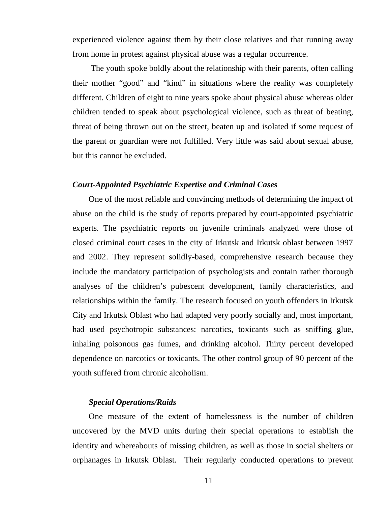experienced violence against them by their close relatives and that running away from home in protest against physical abuse was a regular occurrence.

 The youth spoke boldly about the relationship with their parents, often calling their mother "good" and "kind" in situations where the reality was completely different. Children of eight to nine years spoke about physical abuse whereas older children tended to speak about psychological violence, such as threat of beating, threat of being thrown out on the street, beaten up and isolated if some request of the parent or guardian were not fulfilled. Very little was said about sexual abuse, but this cannot be excluded.

### *Court-Appointed Psychiatric Expertise and Criminal Cases*

One of the most reliable and convincing methods of determining the impact of abuse on the child is the study of reports prepared by court-appointed psychiatric experts. The psychiatric reports on juvenile criminals analyzed were those of closed criminal court cases in the city of Irkutsk and Irkutsk oblast between 1997 and 2002. They represent solidly-based, comprehensive research because they include the mandatory participation of psychologists and contain rather thorough analyses of the children's pubescent development, family characteristics, and relationships within the family. The research focused on youth offenders in Irkutsk City and Irkutsk Oblast who had adapted very poorly socially and, most important, had used psychotropic substances: narcotics, toxicants such as sniffing glue, inhaling poisonous gas fumes, and drinking alcohol. Thirty percent developed dependence on narcotics or toxicants. The other control group of 90 percent of the youth suffered from chronic alcoholism.

## *Special Operations/Raids*

One measure of the extent of homelessness is the number of children uncovered by the MVD units during their special operations to establish the identity and whereabouts of missing children, as well as those in social shelters or orphanages in Irkutsk Oblast. Their regularly conducted operations to prevent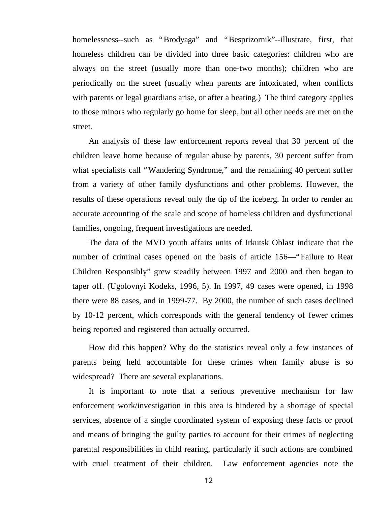homelessness--such as "Brodyaga" and "Besprizornik"--illustrate, first, that homeless children can be divided into three basic categories: children who are always on the street (usually more than one-two months); children who are periodically on the street (usually when parents are intoxicated, when conflicts with parents or legal guardians arise, or after a beating.) The third category applies to those minors who regularly go home for sleep, but all other needs are met on the street.

An analysis of these law enforcement reports reveal that 30 percent of the children leave home because of regular abuse by parents, 30 percent suffer from what specialists call "Wandering Syndrome," and the remaining 40 percent suffer from a variety of other family dysfunctions and other problems. However, the results of these operations reveal only the tip of the iceberg. In order to render an accurate accounting of the scale and scope of homeless children and dysfunctional families, ongoing, frequent investigations are needed.

The data of the MVD youth affairs units of Irkutsk Oblast indicate that the number of criminal cases opened on the basis of article 156— "Failure to Rear" Children Responsibly" grew steadily between 1997 and 2000 and then began to taper off. (Ugolovnyi Kodeks, 1996, 5). In 1997, 49 cases were opened, in 1998 there were 88 cases, and in 1999-77. By 2000, the number of such cases declined by 10-12 percent, which corresponds with the general tendency of fewer crimes being reported and registered than actually occurred.

How did this happen? Why do the statistics reveal only a few instances of parents being held accountable for these crimes when family abuse is so widespread? There are several explanations.

It is important to note that a serious preventive mechanism for law enforcement work/investigation in this area is hindered by a shortage of special services, absence of a single coordinated system of exposing these facts or proof and means of bringing the guilty parties to account for their crimes of neglecting parental responsibilities in child rearing, particularly if such actions are combined with cruel treatment of their children. Law enforcement agencies note the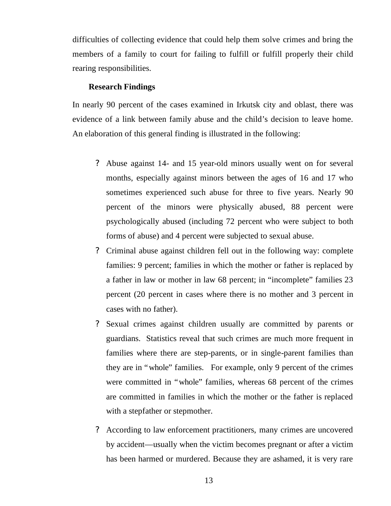difficulties of collecting evidence that could help them solve crimes and bring the members of a family to court for failing to fulfill or fulfill properly their child rearing responsibilities.

## **Research Findings**

In nearly 90 percent of the cases examined in Irkutsk city and oblast, there was evidence of a link between family abuse and the child's decision to leave home. An elaboration of this general finding is illustrated in the following:

- ? Abuse against 14- and 15 year-old minors usually went on for several months, especially against minors between the ages of 16 and 17 who sometimes experienced such abuse for three to five years. Nearly 90 percent of the minors were physically abused, 88 percent were psychologically abused (including 72 percent who were subject to both forms of abuse) and 4 percent were subjected to sexual abuse.
- ? Criminal abuse against children fell out in the following way: complete families: 9 percent; families in which the mother or father is replaced by a father in law or mother in law 68 percent; in "incomplete" families 23 percent (20 percent in cases where there is no mother and 3 percent in cases with no father).
- ? Sexual crimes against children usually are committed by parents or guardians. Statistics reveal that such crimes are much more frequent in families where there are step-parents, or in single-parent families than they are in "whole" families. For example, only 9 percent of the crimes were committed in "whole" families, whereas 68 percent of the crimes are committed in families in which the mother or the father is replaced with a stepfather or stepmother.
- ? According to law enforcement practitioners, many crimes are uncovered by accident— usually when the victim becomes pregnant or after a victim has been harmed or murdered. Because they are ashamed, it is very rare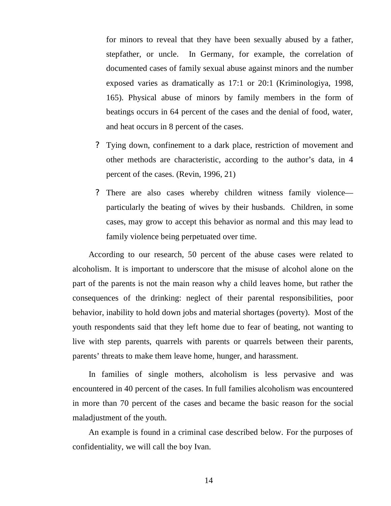for minors to reveal that they have been sexually abused by a father, stepfather, or uncle. In Germany, for example, the correlation of documented cases of family sexual abuse against minors and the number exposed varies as dramatically as 17:1 or 20:1 (Kriminologiya, 1998, 165). Physical abuse of minors by family members in the form of beatings occurs in 64 percent of the cases and the denial of food, water, and heat occurs in 8 percent of the cases.

- ? Tying down, confinement to a dark place, restriction of movement and other methods are characteristic, according to the author's data, in 4 percent of the cases. (Revin, 1996, 21)
- ? There are also cases whereby children witness family violence particularly the beating of wives by their husbands. Children, in some cases, may grow to accept this behavior as normal and this may lead to family violence being perpetuated over time.

According to our research, 50 percent of the abuse cases were related to alcoholism. It is important to underscore that the misuse of alcohol alone on the part of the parents is not the main reason why a child leaves home, but rather the consequences of the drinking: neglect of their parental responsibilities, poor behavior, inability to hold down jobs and material shortages (poverty). Most of the youth respondents said that they left home due to fear of beating, not wanting to live with step parents, quarrels with parents or quarrels between their parents, parents' threats to make them leave home, hunger, and harassment.

In families of single mothers, alcoholism is less pervasive and was encountered in 40 percent of the cases. In full families alcoholism was encountered in more than 70 percent of the cases and became the basic reason for the social maladjustment of the youth.

An example is found in a criminal case described below. For the purposes of confidentiality, we will call the boy Ivan.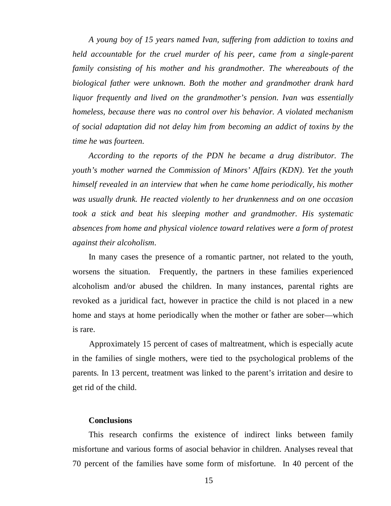*A young boy of 15 years named Ivan, suffering from addiction to toxins and held accountable for the cruel murder of his peer, came from a single-parent family consisting of his mother and his grandmother. The whereabouts of the biological father were unknown. Both the mother and grandmother drank hard liquor frequently and lived on the grandmother's pension. Ivan was essentially homeless, because there was no control over his behavior. A violated mechanism of social adaptation did not delay him from becoming an addict of toxins by the time he was fourteen.*

*According to the reports of the PDN he became a drug distributor. The youth's mother warned the Commission of Minors' Affairs (KDN). Yet the youth himself revealed in an interview that when he came home periodically, his mother was usually drunk. He reacted violently to her drunkenness and on one occasion took a stick and beat his sleeping mother and grandmother. His systematic absences from home and physical violence toward relatives were a form of protest against their alcoholism*.

In many cases the presence of a romantic partner, not related to the youth, worsens the situation. Frequently, the partners in these families experienced alcoholism and/or abused the children. In many instances, parental rights are revoked as a juridical fact, however in practice the child is not placed in a new home and stays at home periodically when the mother or father are sober—which is rare.

Approximately 15 percent of cases of maltreatment, which is especially acute in the families of single mothers, were tied to the psychological problems of the parents. In 13 percent, treatment was linked to the parent's irritation and desire to get rid of the child.

### **Conclusions**

This research confirms the existence of indirect links between family misfortune and various forms of asocial behavior in children. Analyses reveal that 70 percent of the families have some form of misfortune. In 40 percent of the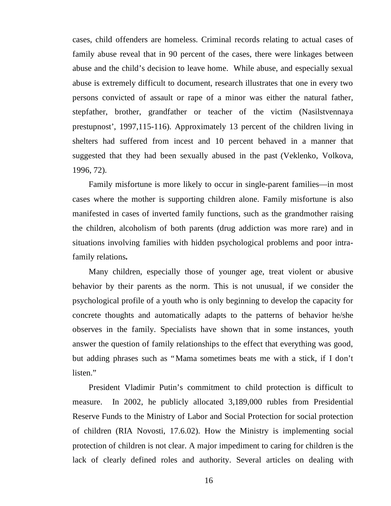cases, child offenders are homeless. Criminal records relating to actual cases of family abuse reveal that in 90 percent of the cases, there were linkages between abuse and the child's decision to leave home. While abuse, and especially sexual abuse is extremely difficult to document, research illustrates that one in every two persons convicted of assault or rape of a minor was either the natural father, stepfather, brother, grandfather or teacher of the victim (Nasilstvennaya prestupnost', 1997,115-116). Approximately 13 percent of the children living in shelters had suffered from incest and 10 percent behaved in a manner that suggested that they had been sexually abused in the past (Veklenko, Volkova, 1996, 72).

Family misfortune is more likely to occur in single-parent families— in most cases where the mother is supporting children alone. Family misfortune is also manifested in cases of inverted family functions, such as the grandmother raising the children, alcoholism of both parents (drug addiction was more rare) and in situations involving families with hidden psychological problems and poor intrafamily relations**.**

Many children, especially those of younger age, treat violent or abusive behavior by their parents as the norm. This is not unusual, if we consider the psychological profile of a youth who is only beginning to develop the capacity for concrete thoughts and automatically adapts to the patterns of behavior he/she observes in the family. Specialists have shown that in some instances, youth answer the question of family relationships to the effect that everything was good, but adding phrases such as "Mama sometimes beats me with a stick, if I don't listen."

President Vladimir Putin's commitment to child protection is difficult to measure. In 2002, he publicly allocated 3,189,000 rubles from Presidential Reserve Funds to the Ministry of Labor and Social Protection for social protection of children (RIA Novosti, 17.6.02). How the Ministry is implementing social protection of children is not clear. A major impediment to caring for children is the lack of clearly defined roles and authority. Several articles on dealing with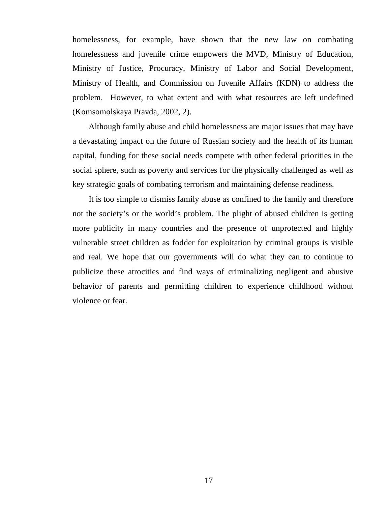homelessness, for example, have shown that the new law on combating homelessness and juvenile crime empowers the MVD, Ministry of Education, Ministry of Justice, Procuracy, Ministry of Labor and Social Development, Ministry of Health, and Commission on Juvenile Affairs (KDN) to address the problem. However, to what extent and with what resources are left undefined (Komsomolskaya Pravda, 2002, 2).

Although family abuse and child homelessness are major issues that may have a devastating impact on the future of Russian society and the health of its human capital, funding for these social needs compete with other federal priorities in the social sphere, such as poverty and services for the physically challenged as well as key strategic goals of combating terrorism and maintaining defense readiness.

It is too simple to dismiss family abuse as confined to the family and therefore not the society's or the world's problem. The plight of abused children is getting more publicity in many countries and the presence of unprotected and highly vulnerable street children as fodder for exploitation by criminal groups is visible and real. We hope that our governments will do what they can to continue to publicize these atrocities and find ways of criminalizing negligent and abusive behavior of parents and permitting children to experience childhood without violence or fear.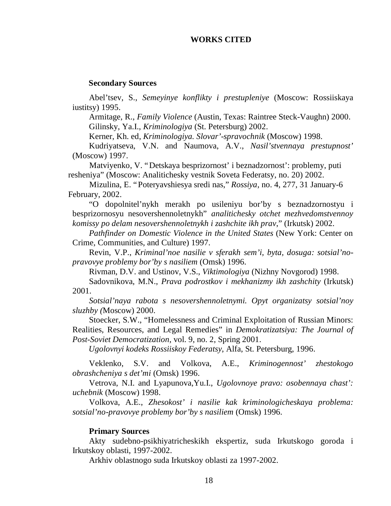## **WORKS CITED**

#### **Secondary Sources**

Abel'tsev, S., *Semeyinye konflikty i prestupleniye* (Moscow: Rossiiskaya iustitsy) 1995.

Armitage, R., *Family Violence* (Austin, Texas: Raintree Steck-Vaughn) 2000. Gilinsky, Ya.I., *Kriminologiya* (St. Petersburg) 2002.

Kerner, Kh. ed, *Kriminologiya. Slovar'-spravochnik* (Moscow) 1998.

Kudriyatseva, V.N. and Naumova, A.V., *Nasil'stvennaya prestupnost'* (Moscow) 1997.

Matviyenko, V. "Detskaya besprizornost' i beznadzornost': problemy, puti resheniya" (Moscow: Analitichesky vestnik Soveta Federatsy, no. 20) 2002.

Mizulina, E. "Poteryavshiesya sredi nas," *Rossiya*, no. 4, 277, 31 January-6 February, 2002.

"O dopolnitel'nykh merakh po usileniyu bor'by s beznadzornostyu i besprizornosyu nesovershennoletnykh" *analitichesky otchet mezhvedomstvennoy komissy po delam nesovershennoletnykh i zashchite ikh prav*," (Irkutsk) 2002.

*Pathfinder on Domestic Violence in the United States* (New York: Center on Crime, Communities, and Culture) 1997.

Revin, V.P., *Kriminal'noe nasilie v sferakh sem'i, byta, dosuga: sotsial'nopravovye problemy bor'by s nasiliem* (Omsk) 1996.

Rivman, D.V. and Ustinov, V.S., *Viktimologiya* (Nizhny Novgorod) 1998.

Sadovnikova, M.N., *Prava podrostkov i mekhanizmy ikh zashchity* (Irkutsk) 2001.

*Sotsial'naya rabota s nesovershennoletnymi. Opyt organizatsy sotsial'noy sluzhby (*Moscow) 2000.

Stoecker, S.W., "Homelessness and Criminal Exploitation of Russian Minors: Realities, Resources, and Legal Remedies" in *Demokratizatsiya: The Journal of Post-Soviet Democratization*, vol. 9, no. 2, Spring 2001.

*Ugolovnyi kodeks Rossiiskoy Federatsy*, Alfa, St. Petersburg, 1996.

Veklenko, S.V. and Volkova, A.E., *Kriminogennost' zhestokogo obrashcheniya s det'mi* (Omsk) 1996.

Vetrova, N.I. and Lyapunova,Yu.I., *Ugolovnoye pravo: osobennaya chast': uchebnik* (Moscow) 1998.

Volkova, A.E., *Zhesokost' i nasilie kak kriminologicheskaya problema: sotsial'no-pravovye problemy bor'by s nasiliem* (Omsk) 1996.

#### **Primary Sources**

Akty sudebno-psikhiyatricheskikh ekspertiz, suda Irkutskogo goroda i Irkutskoy oblasti, 1997-2002.

Arkhiv oblastnogo suda Irkutskoy oblasti za 1997-2002.